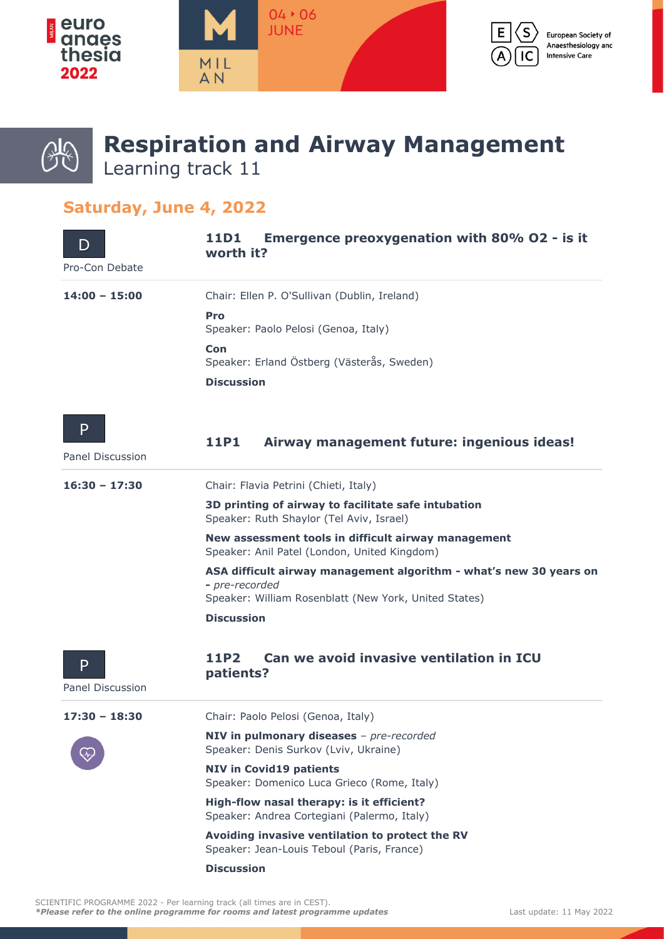

# O.

## **Respiration and Airway Management** Learning track 11

### **Saturday, June 4, 2022**

| I)<br>Pro-Con Debate  | <b>Emergence preoxygenation with 80% O2 - is it</b><br>11D1<br>worth it?                                                                      |
|-----------------------|-----------------------------------------------------------------------------------------------------------------------------------------------|
| $14:00 - 15:00$       | Chair: Ellen P. O'Sullivan (Dublin, Ireland)                                                                                                  |
|                       | Pro<br>Speaker: Paolo Pelosi (Genoa, Italy)                                                                                                   |
|                       | Con<br>Speaker: Erland Östberg (Västerås, Sweden)                                                                                             |
|                       | <b>Discussion</b>                                                                                                                             |
| P<br>Panel Discussion | Airway management future: ingenious ideas!<br>11P1                                                                                            |
| $16:30 - 17:30$       | Chair: Flavia Petrini (Chieti, Italy)                                                                                                         |
|                       | 3D printing of airway to facilitate safe intubation<br>Speaker: Ruth Shaylor (Tel Aviv, Israel)                                               |
|                       | New assessment tools in difficult airway management<br>Speaker: Anil Patel (London, United Kingdom)                                           |
|                       | ASA difficult airway management algorithm - what's new 30 years on<br>- pre-recorded<br>Speaker: William Rosenblatt (New York, United States) |
|                       | <b>Discussion</b>                                                                                                                             |
| P<br>Panel Discussion | Can we avoid invasive ventilation in ICU<br>11P2<br>patients?                                                                                 |
| $17:30 - 18:30$       | Chair: Paolo Pelosi (Genoa, Italy)                                                                                                            |
|                       | NIV in pulmonary diseases - pre-recorded<br>Speaker: Denis Surkov (Lviv, Ukraine)                                                             |
|                       | <b>NIV in Covid19 patients</b><br>Speaker: Domenico Luca Grieco (Rome, Italy)                                                                 |
|                       | High-flow nasal therapy: is it efficient?<br>Speaker: Andrea Cortegiani (Palermo, Italy)                                                      |
|                       | Avoiding invasive ventilation to protect the RV<br>Speaker: Jean-Louis Teboul (Paris, France)                                                 |
|                       | <b>Discussion</b>                                                                                                                             |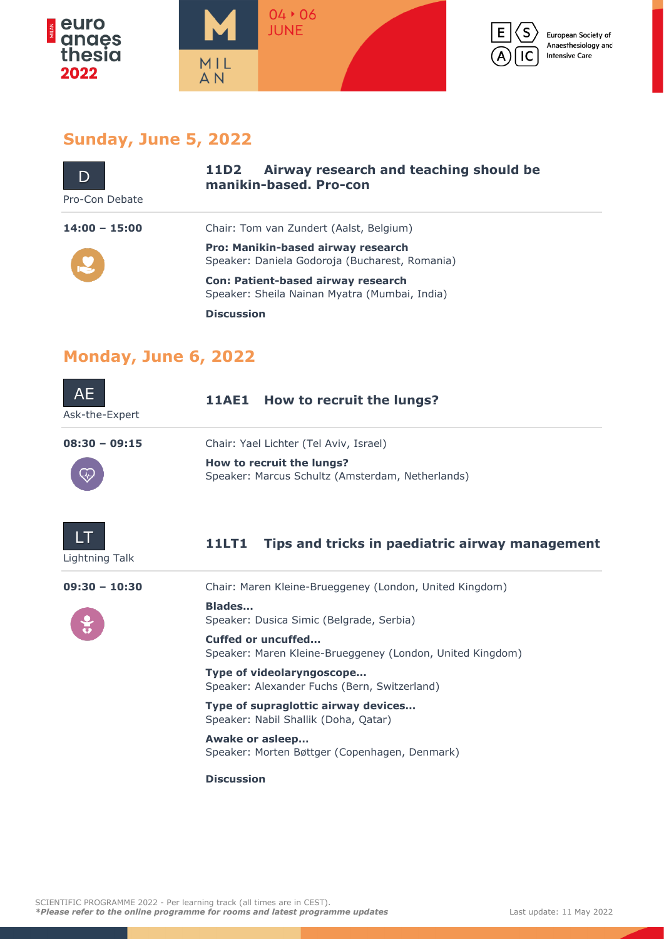



European Society of Anaesthesiology and **Intensive Care** 

#### **Sunday, June 5, 2022**

| Pro-Con Debate  | Airway research and teaching should be<br>11D2<br>manikin-based. Pro-con                    |
|-----------------|---------------------------------------------------------------------------------------------|
| $14:00 - 15:00$ | Chair: Tom van Zundert (Aalst, Belgium)                                                     |
|                 | <b>Pro: Manikin-based airway research</b><br>Speaker: Daniela Godoroja (Bucharest, Romania) |
|                 | <b>Con: Patient-based airway research</b><br>Speaker: Sheila Nainan Myatra (Mumbai, India)  |
|                 | <b>Discussion</b>                                                                           |

## **Monday, June 6, 2022**

| AE<br>Ask-the-Expert | How to recruit the lungs?<br>11AE1                                              |
|----------------------|---------------------------------------------------------------------------------|
| $08:30 - 09:15$      | Chair: Yael Lichter (Tel Aviv, Israel)                                          |
|                      | How to recruit the lungs?<br>Speaker: Marcus Schultz (Amsterdam, Netherlands)   |
| Lightning Talk       | <b>11LT1</b><br>Tips and tricks in paediatric airway management                 |
| $09:30 - 10:30$      | Chair: Maren Kleine-Brueggeney (London, United Kingdom)                         |
|                      | <b>Blades</b><br>Speaker: Dusica Simic (Belgrade, Serbia)                       |
|                      | Cuffed or uncuffed<br>Speaker: Maren Kleine-Brueggeney (London, United Kingdom) |
|                      | Type of videolaryngoscope<br>Speaker: Alexander Fuchs (Bern, Switzerland)       |
|                      | Type of supraglottic airway devices<br>Speaker: Nabil Shallik (Doha, Qatar)     |
|                      | Awake or asleep<br>Speaker: Morten Bøttger (Copenhagen, Denmark)                |
|                      | <b>Discussion</b>                                                               |